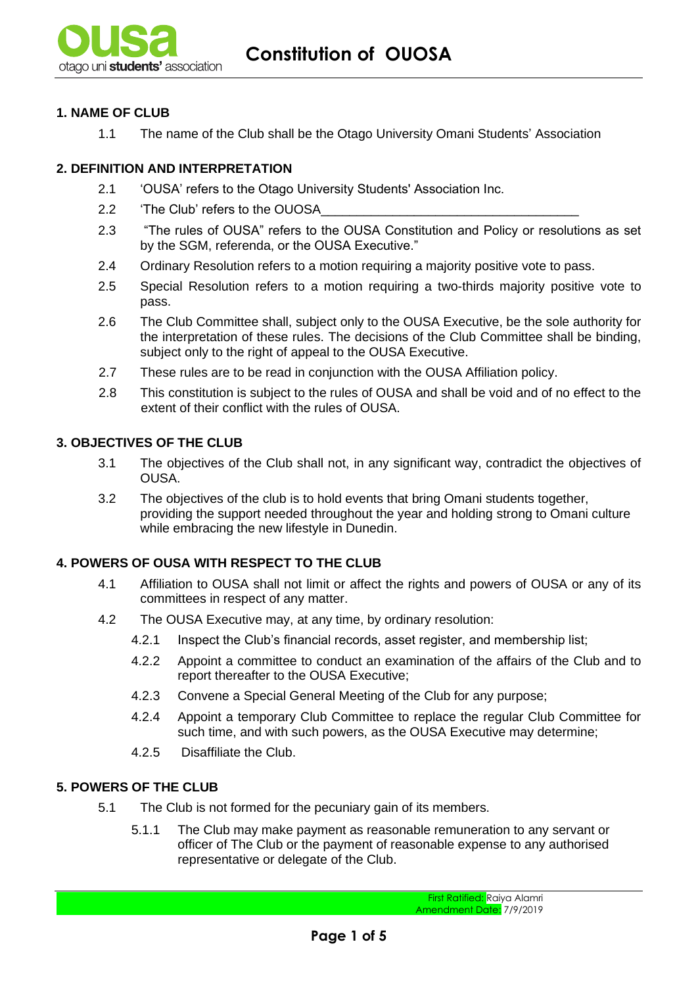### **1. NAME OF CLUB**

1.1 The name of the Club shall be the Otago University Omani Students' Association

## **2. DEFINITION AND INTERPRETATION**

- 2.1 'OUSA' refers to the Otago University Students' Association Inc.
- 2.2 The Club' refers to the OUOSA
- 2.3 "The rules of OUSA" refers to the OUSA Constitution and Policy or resolutions as set by the SGM, referenda, or the OUSA Executive."
- 2.4 Ordinary Resolution refers to a motion requiring a majority positive vote to pass.
- 2.5 Special Resolution refers to a motion requiring a two-thirds majority positive vote to pass.
- 2.6 The Club Committee shall, subject only to the OUSA Executive, be the sole authority for the interpretation of these rules. The decisions of the Club Committee shall be binding, subject only to the right of appeal to the OUSA Executive.
- 2.7 These rules are to be read in conjunction with the OUSA Affiliation policy.
- 2.8 This constitution is subject to the rules of OUSA and shall be void and of no effect to the extent of their conflict with the rules of OUSA.

### **3. OBJECTIVES OF THE CLUB**

- 3.1 The objectives of the Club shall not, in any significant way, contradict the objectives of OUSA.
- 3.2 The objectives of the club is to hold events that bring Omani students together, providing the support needed throughout the year and holding strong to Omani culture while embracing the new lifestyle in Dunedin.

### **4. POWERS OF OUSA WITH RESPECT TO THE CLUB**

- 4.1 Affiliation to OUSA shall not limit or affect the rights and powers of OUSA or any of its committees in respect of any matter.
- 4.2 The OUSA Executive may, at any time, by ordinary resolution:
	- 4.2.1 Inspect the Club's financial records, asset register, and membership list;
	- 4.2.2 Appoint a committee to conduct an examination of the affairs of the Club and to report thereafter to the OUSA Executive;
	- 4.2.3 Convene a Special General Meeting of the Club for any purpose;
	- 4.2.4 Appoint a temporary Club Committee to replace the regular Club Committee for such time, and with such powers, as the OUSA Executive may determine;
	- 4.2.5 Disaffiliate the Club.

### **5. POWERS OF THE CLUB**

- 5.1 The Club is not formed for the pecuniary gain of its members.
	- 5.1.1 The Club may make payment as reasonable remuneration to any servant or officer of The Club or the payment of reasonable expense to any authorised representative or delegate of the Club.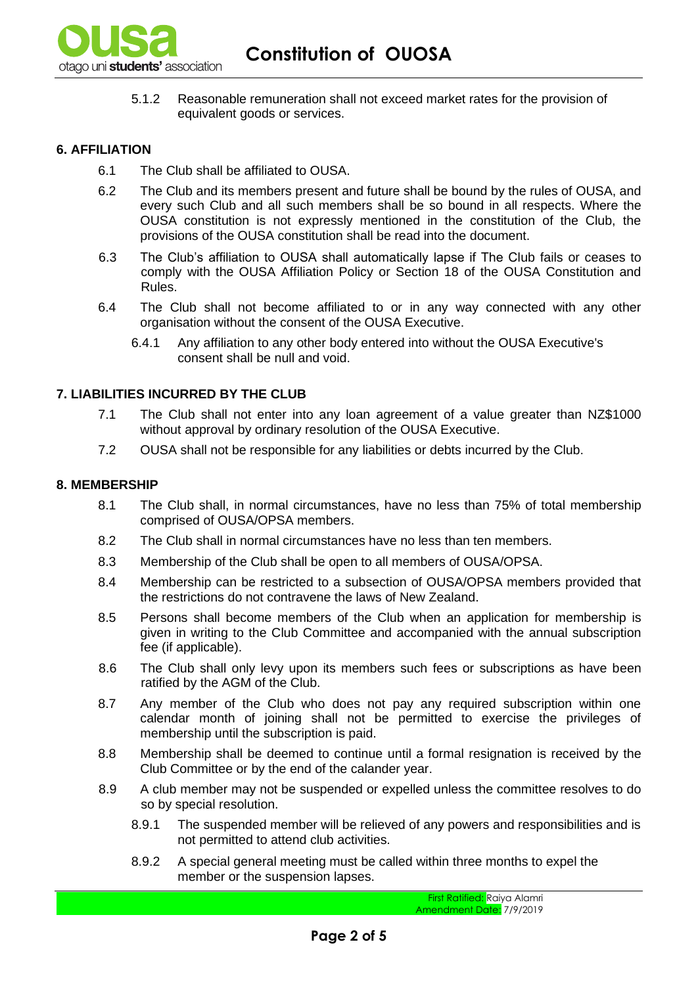

5.1.2 Reasonable remuneration shall not exceed market rates for the provision of equivalent goods or services.

### **6. AFFILIATION**

- 6.1 The Club shall be affiliated to OUSA.
- 6.2 The Club and its members present and future shall be bound by the rules of OUSA, and every such Club and all such members shall be so bound in all respects. Where the OUSA constitution is not expressly mentioned in the constitution of the Club, the provisions of the OUSA constitution shall be read into the document.
- 6.3 The Club's affiliation to OUSA shall automatically lapse if The Club fails or ceases to comply with the OUSA Affiliation Policy or Section 18 of the OUSA Constitution and Rules.
- 6.4 The Club shall not become affiliated to or in any way connected with any other organisation without the consent of the OUSA Executive.
	- 6.4.1 Any affiliation to any other body entered into without the OUSA Executive's consent shall be null and void.

#### **7. LIABILITIES INCURRED BY THE CLUB**

- 7.1 The Club shall not enter into any loan agreement of a value greater than NZ\$1000 without approval by ordinary resolution of the OUSA Executive.
- 7.2 OUSA shall not be responsible for any liabilities or debts incurred by the Club.

#### **8. MEMBERSHIP**

- 8.1 The Club shall, in normal circumstances, have no less than 75% of total membership comprised of OUSA/OPSA members.
- 8.2 The Club shall in normal circumstances have no less than ten members.
- 8.3 Membership of the Club shall be open to all members of OUSA/OPSA.
- 8.4 Membership can be restricted to a subsection of OUSA/OPSA members provided that the restrictions do not contravene the laws of New Zealand.
- 8.5 Persons shall become members of the Club when an application for membership is given in writing to the Club Committee and accompanied with the annual subscription fee (if applicable).
- 8.6 The Club shall only levy upon its members such fees or subscriptions as have been ratified by the AGM of the Club.
- 8.7 Any member of the Club who does not pay any required subscription within one calendar month of joining shall not be permitted to exercise the privileges of membership until the subscription is paid.
- 8.8 Membership shall be deemed to continue until a formal resignation is received by the Club Committee or by the end of the calander year.
- 8.9 A club member may not be suspended or expelled unless the committee resolves to do so by special resolution.
	- 8.9.1 The suspended member will be relieved of any powers and responsibilities and is not permitted to attend club activities.
	- 8.9.2 A special general meeting must be called within three months to expel the member or the suspension lapses.

First Ratified: Raiya Alamri Amendment Date: 7/9/2019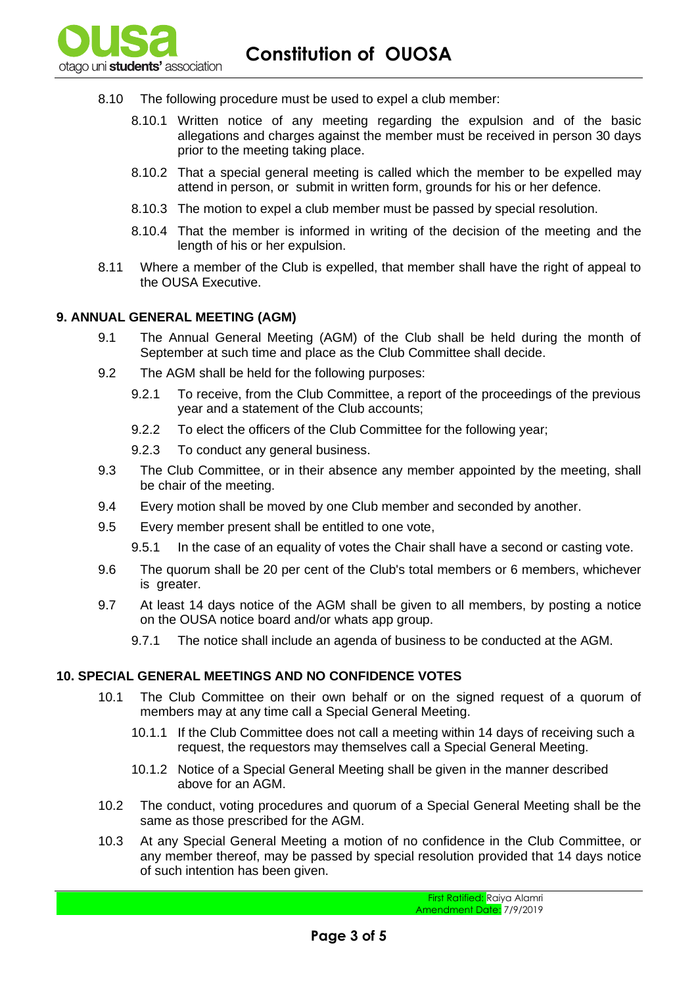- 8.10 The following procedure must be used to expel a club member:
	- 8.10.1 Written notice of any meeting regarding the expulsion and of the basic allegations and charges against the member must be received in person 30 days prior to the meeting taking place.
	- 8.10.2 That a special general meeting is called which the member to be expelled may attend in person, or submit in written form, grounds for his or her defence.
	- 8.10.3 The motion to expel a club member must be passed by special resolution.
	- 8.10.4 That the member is informed in writing of the decision of the meeting and the length of his or her expulsion.
- 8.11 Where a member of the Club is expelled, that member shall have the right of appeal to the OUSA Executive.

#### **9. ANNUAL GENERAL MEETING (AGM)**

- 9.1 The Annual General Meeting (AGM) of the Club shall be held during the month of September at such time and place as the Club Committee shall decide.
- 9.2 The AGM shall be held for the following purposes:
	- 9.2.1 To receive, from the Club Committee, a report of the proceedings of the previous year and a statement of the Club accounts;
	- 9.2.2 To elect the officers of the Club Committee for the following year;
	- 9.2.3 To conduct any general business.
- 9.3 The Club Committee, or in their absence any member appointed by the meeting, shall be chair of the meeting.
- 9.4 Every motion shall be moved by one Club member and seconded by another.
- 9.5 Every member present shall be entitled to one vote,
	- 9.5.1 In the case of an equality of votes the Chair shall have a second or casting vote.
- 9.6 The quorum shall be 20 per cent of the Club's total members or 6 members, whichever is greater.
- 9.7 At least 14 days notice of the AGM shall be given to all members, by posting a notice on the OUSA notice board and/or whats app group.
	- 9.7.1 The notice shall include an agenda of business to be conducted at the AGM.

### **10. SPECIAL GENERAL MEETINGS AND NO CONFIDENCE VOTES**

- 10.1 The Club Committee on their own behalf or on the signed request of a quorum of members may at any time call a Special General Meeting.
	- 10.1.1 If the Club Committee does not call a meeting within 14 days of receiving such a request, the requestors may themselves call a Special General Meeting.
	- 10.1.2 Notice of a Special General Meeting shall be given in the manner described above for an AGM.
- 10.2 The conduct, voting procedures and quorum of a Special General Meeting shall be the same as those prescribed for the AGM.
- 10.3 At any Special General Meeting a motion of no confidence in the Club Committee, or any member thereof, may be passed by special resolution provided that 14 days notice of such intention has been given.

First Ratified: Raiya Alamri Amendment Date: 7/9/2019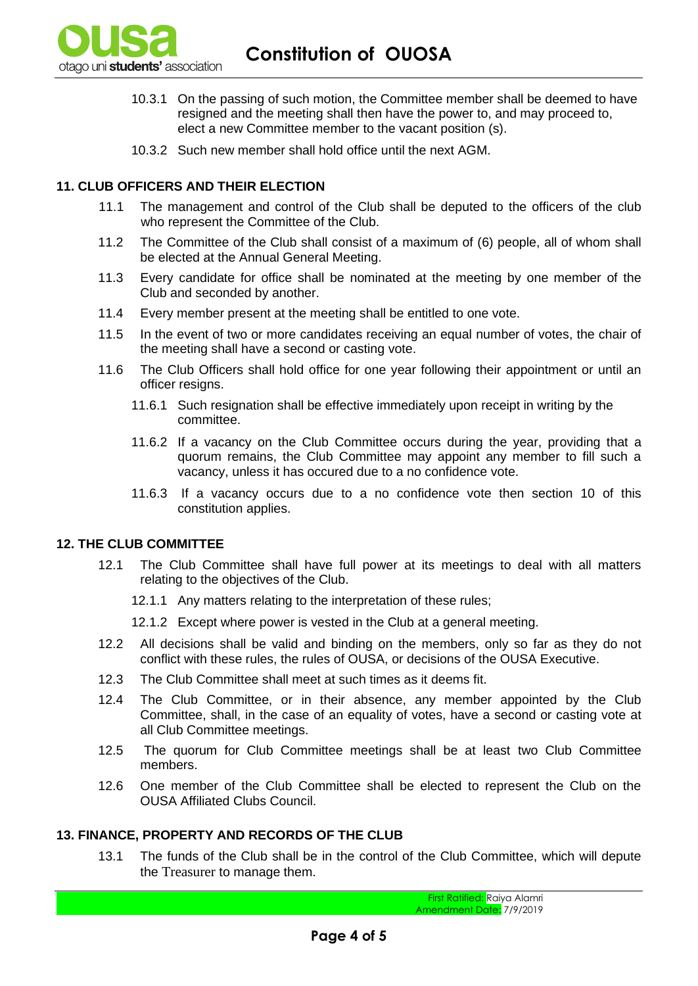

- 10.3.1 On the passing of such motion, the Committee member shall be deemed to have resigned and the meeting shall then have the power to, and may proceed to, elect a new Committee member to the vacant position (s).
- 10.3.2 Such new member shall hold office until the next AGM.

### **11. CLUB OFFICERS AND THEIR ELECTION**

- 11.1 The management and control of the Club shall be deputed to the officers of the club who represent the Committee of the Club.
- 11.2 The Committee of the Club shall consist of a maximum of (6) people, all of whom shall be elected at the Annual General Meeting.
- 11.3 Every candidate for office shall be nominated at the meeting by one member of the Club and seconded by another.
- 11.4 Every member present at the meeting shall be entitled to one vote.
- 11.5 In the event of two or more candidates receiving an equal number of votes, the chair of the meeting shall have a second or casting vote.
- 11.6 The Club Officers shall hold office for one year following their appointment or until an officer resigns.
	- 11.6.1 Such resignation shall be effective immediately upon receipt in writing by the committee.
	- 11.6.2 If a vacancy on the Club Committee occurs during the year, providing that a quorum remains, the Club Committee may appoint any member to fill such a vacancy, unless it has occured due to a no confidence vote.
	- 11.6.3 If a vacancy occurs due to a no confidence vote then section 10 of this constitution applies.

#### **12. THE CLUB COMMITTEE**

- 12.1 The Club Committee shall have full power at its meetings to deal with all matters relating to the objectives of the Club.
	- 12.1.1 Any matters relating to the interpretation of these rules;
	- 12.1.2 Except where power is vested in the Club at a general meeting.
- 12.2 All decisions shall be valid and binding on the members, only so far as they do not conflict with these rules, the rules of OUSA, or decisions of the OUSA Executive.
- 12.3 The Club Committee shall meet at such times as it deems fit.
- 12.4 The Club Committee, or in their absence, any member appointed by the Club Committee, shall, in the case of an equality of votes, have a second or casting vote at all Club Committee meetings.
- 12.5 The quorum for Club Committee meetings shall be at least two Club Committee members.
- 12.6 One member of the Club Committee shall be elected to represent the Club on the OUSA Affiliated Clubs Council.

### **13. FINANCE, PROPERTY AND RECORDS OF THE CLUB**

13.1 The funds of the Club shall be in the control of the Club Committee, which will depute the Treasurer to manage them.